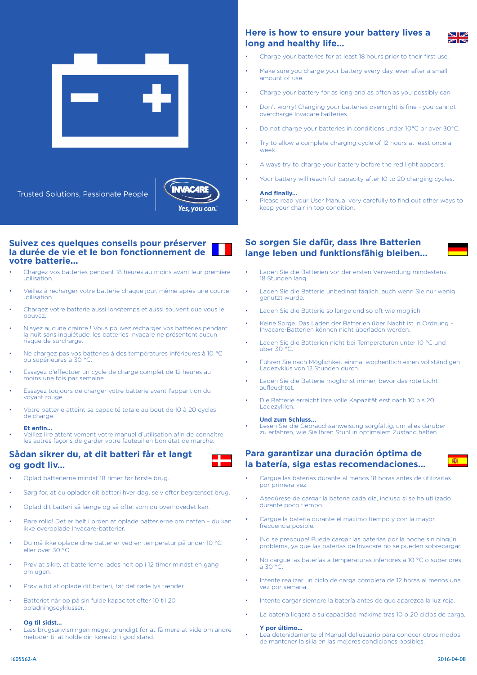



**Suivez ces quelques conseils pour préserver la durée de vie et le bon fonctionnement de votre batterie...**

- Chargez vos batteries pendant 18 heures au moins avant leur première utilisation.
- Veillez à recharger votre batterie chaque jour, même après une courte utilisation.
- Chargez votre batterie aussi longtemps et aussi souvent que vous le pouvez.
- N'ayez aucune crainte ! Vous pouvez recharger vos batteries pendant la nuit sans inquiétude, les batteries Invacare ne présentent aucun risque de surcharge.
- Ne chargez pas vos batteries à des températures inférieures à 10 °C ou supérieures à 30 °C.
- Essayez d'effectuer un cycle de charge complet de 12 heures au moins une fois par semaine.
- Essayez toujours de charger votre batterie avant l'apparition du voyant rouge.
- Votre batterie atteint sa capacité totale au bout de 10 à 20 cycles de charge.

#### **Et enfin...**

• Veillez lire attentivement votre manuel d'utilisation afin de connaître les autres façons de garder votre fauteuil en bon état de marche.

# **Sådan sikrer du, at dit batteri får et langt og godt liv...**

- Oplad batterierne mindst 18 timer før første brug.
- Sørg for, at du oplader dit batteri hver dag, selv efter begrænset brug.
- Oplad dit batteri så længe og så ofte, som du overhovedet kan.
- Bare rolig! Det er helt i orden at oplade batterierne om natten du kan ikke overoplade Invacare-batterier.
- Du må ikke oplade dine batterier ved en temperatur på under 10 °C eller over 30 °C.
- Prøv at sikre, at batterierne lades helt op i 12 timer mindst en gang om ugen.
- Prøv altid at oplade dit batteri, før det røde lys tænder.
- Batteriet når op på sin fulde kapacitet efter 10 til 20 opladningscyklusser.

#### **Og til sidst...**

Læs brugsanvisningen meget grundigt for at få mere at vide om andre metoder til at holde din kørestol i god stand.

# **Here is how to ensure your battery lives a long and healthy life...**

- Charge your batteries for at least 18 hours prior to their first use.
- Make sure you charge your battery every day, even after a small amount of use.
- Charge your battery for as long and as often as you possibly can
- Don't worry! Charging your batteries overnight is fine you cannot overcharge Invacare batteries.
- Do not charge your batteries in conditions under 10°C or over 30°C.
- Try to allow a complete charging cycle of 12 hours at least once a week.
- Always try to charge your battery before the red light appears.
- Your battery will reach full capacity after 10 to 20 charging cycles.

#### **And finally...**

Please read your User Manual very carefully to find out other ways to keep your chair in top condition.

# **So sorgen Sie dafür, dass Ihre Batterien lange leben und funktionsfähig bleiben...**

- Laden Sie die Batterien vor der ersten Verwendung mindestens 18 Stunden lang.
- Laden Sie die Batterie unbedingt täglich, auch wenn Sie nur wenig genutzt wurde.
- Laden Sie die Batterie so lange und so oft wie möglich.
- Keine Sorge. Das Laden der Batterien über Nacht ist in Ordnung Invacare-Batterien können nicht überladen werden.
- Laden Sie die Batterien nicht bei Temperaturen unter 10 °C und über 30 °C.
- Führen Sie nach Möglichkeit einmal wöchentlich einen vollständigen Ladezyklus von 12 Stunden durch.
- Laden Sie die Batterie möglichst immer, bevor das rote Licht aufleuchtet.
- Die Batterie erreicht Ihre volle Kapazität erst nach 10 bis 20 Ladezyklen.

#### **Und zum Schluss...**

• Lesen Sie die Gebrauchsanweisung sorgfältig, um alles darüber zu erfahren, wie Sie Ihren Stuhl in optimalem Zustand halten.

### **Para garantizar una duración óptima de la batería, siga estas recomendaciones...**

- 
- Cargue las baterías durante al menos 18 horas antes de utilizarlas por primera vez.
- Asegúrese de cargar la batería cada día, incluso si se ha utilizado durante poco tiempo.
- Cargue la batería durante el máximo tiempo y con la mayor frecuencia posible.
- iNo se preocupe! Puede cargar las baterías por la noche sin ningún problema, ya que las baterías de Invacare no se pueden sobrecargar.
- No cargue las baterías a temperaturas inferiores a 10 °C o superiores a 30  $^{\circ}$ C
- Intente realizar un ciclo de carga completa de 12 horas al menos una vez por semana.
- Intente cargar siempre la batería antes de que aparezca la luz roja.
- La batería llegará a su capacidad máxima tras 10 o 20 ciclos de carga.

### **Y por último...**

• Lea detenidamente el Manual del usuario para conocer otros modos de mantener la silla en las mejores condiciones posibles.